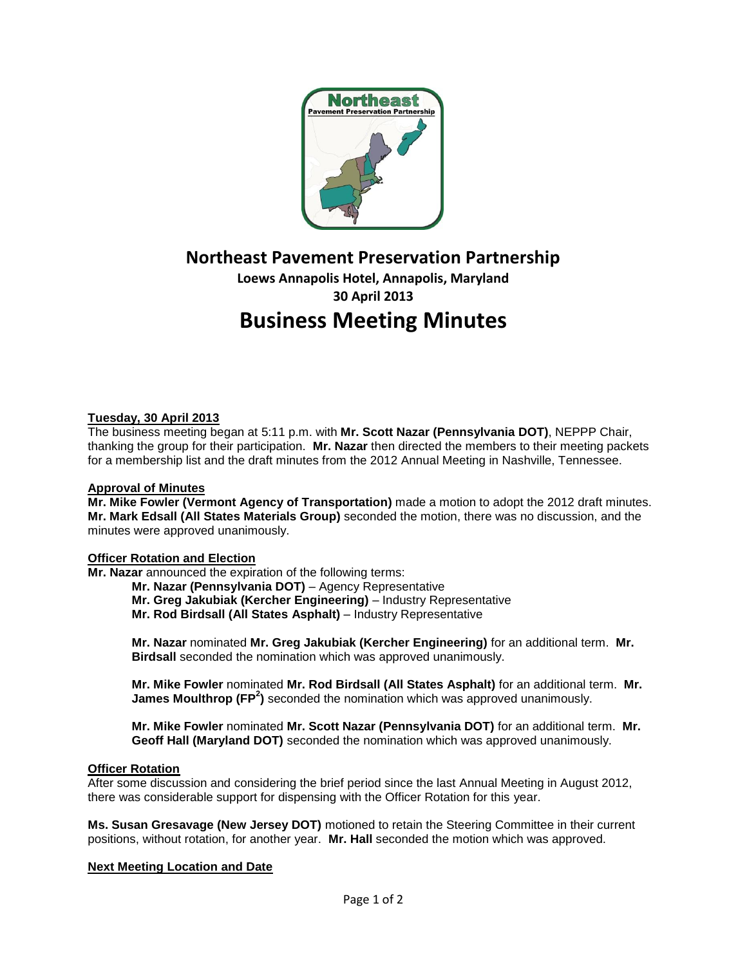

**Northeast Pavement Preservation Partnership**

**Loews Annapolis Hotel, Annapolis, Maryland 30 April 2013 Business Meeting Minutes**

## **Tuesday, 30 April 2013**

The business meeting began at 5:11 p.m. with **Mr. Scott Nazar (Pennsylvania DOT)**, NEPPP Chair, thanking the group for their participation. **Mr. Nazar** then directed the members to their meeting packets for a membership list and the draft minutes from the 2012 Annual Meeting in Nashville, Tennessee.

#### **Approval of Minutes**

**Mr. Mike Fowler (Vermont Agency of Transportation)** made a motion to adopt the 2012 draft minutes. **Mr. Mark Edsall (All States Materials Group)** seconded the motion, there was no discussion, and the minutes were approved unanimously.

#### **Officer Rotation and Election**

**Mr. Nazar** announced the expiration of the following terms:

- **Mr. Nazar (Pennsylvania DOT)** Agency Representative
- **Mr. Greg Jakubiak (Kercher Engineering)** Industry Representative
- **Mr. Rod Birdsall (All States Asphalt)** Industry Representative

**Mr. Nazar** nominated **Mr. Greg Jakubiak (Kercher Engineering)** for an additional term. **Mr. Birdsall** seconded the nomination which was approved unanimously.

**Mr. Mike Fowler** nominated **Mr. Rod Birdsall (All States Asphalt)** for an additional term. **Mr. James Moulthrop (FP<sup>2</sup>)** seconded the nomination which was approved unanimously.

**Mr. Mike Fowler** nominated **Mr. Scott Nazar (Pennsylvania DOT)** for an additional term. **Mr. Geoff Hall (Maryland DOT)** seconded the nomination which was approved unanimously.

#### **Officer Rotation**

After some discussion and considering the brief period since the last Annual Meeting in August 2012, there was considerable support for dispensing with the Officer Rotation for this year.

**Ms. Susan Gresavage (New Jersey DOT)** motioned to retain the Steering Committee in their current positions, without rotation, for another year. **Mr. Hall** seconded the motion which was approved.

#### **Next Meeting Location and Date**